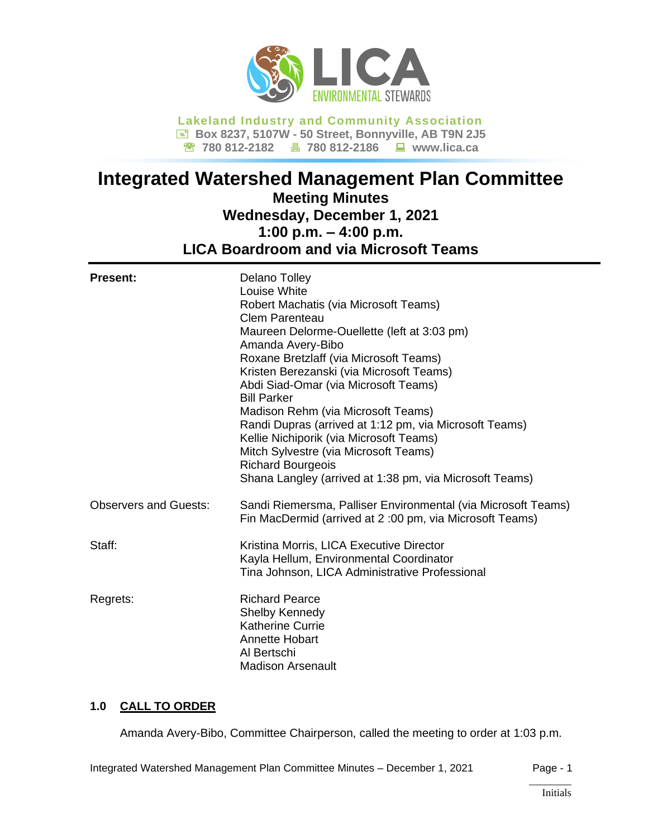

**Lakeland Industry and Community Association Box 8237, 5107W - 50 Street, Bonnyville, AB T9N 2J5 780 812-2182 780 812-2186 www.lica.ca**

# **Integrated Watershed Management Plan Committee Meeting Minutes Wednesday, December 1, 2021 1:00 p.m. – 4:00 p.m. LICA Boardroom and via Microsoft Teams**

| <b>Present:</b>              | Delano Tolley<br>Louise White<br>Robert Machatis (via Microsoft Teams)<br><b>Clem Parenteau</b><br>Maureen Delorme-Ouellette (left at 3:03 pm)<br>Amanda Avery-Bibo<br>Roxane Bretzlaff (via Microsoft Teams)<br>Kristen Berezanski (via Microsoft Teams)<br>Abdi Siad-Omar (via Microsoft Teams)<br><b>Bill Parker</b><br>Madison Rehm (via Microsoft Teams)<br>Randi Dupras (arrived at 1:12 pm, via Microsoft Teams)<br>Kellie Nichiporik (via Microsoft Teams)<br>Mitch Sylvestre (via Microsoft Teams)<br><b>Richard Bourgeois</b><br>Shana Langley (arrived at 1:38 pm, via Microsoft Teams) |
|------------------------------|----------------------------------------------------------------------------------------------------------------------------------------------------------------------------------------------------------------------------------------------------------------------------------------------------------------------------------------------------------------------------------------------------------------------------------------------------------------------------------------------------------------------------------------------------------------------------------------------------|
| <b>Observers and Guests:</b> | Sandi Riemersma, Palliser Environmental (via Microsoft Teams)<br>Fin MacDermid (arrived at 2:00 pm, via Microsoft Teams)                                                                                                                                                                                                                                                                                                                                                                                                                                                                           |
| Staff:                       | Kristina Morris, LICA Executive Director<br>Kayla Hellum, Environmental Coordinator<br>Tina Johnson, LICA Administrative Professional                                                                                                                                                                                                                                                                                                                                                                                                                                                              |
| Regrets:                     | <b>Richard Pearce</b><br>Shelby Kennedy<br><b>Katherine Currie</b><br>Annette Hobart<br>Al Bertschi<br><b>Madison Arsenault</b>                                                                                                                                                                                                                                                                                                                                                                                                                                                                    |

# **1.0 CALL TO ORDER**

Amanda Avery-Bibo, Committee Chairperson, called the meeting to order at 1:03 p.m.

Integrated Watershed Management Plan Committee Minutes – December 1, 2021 Page - 1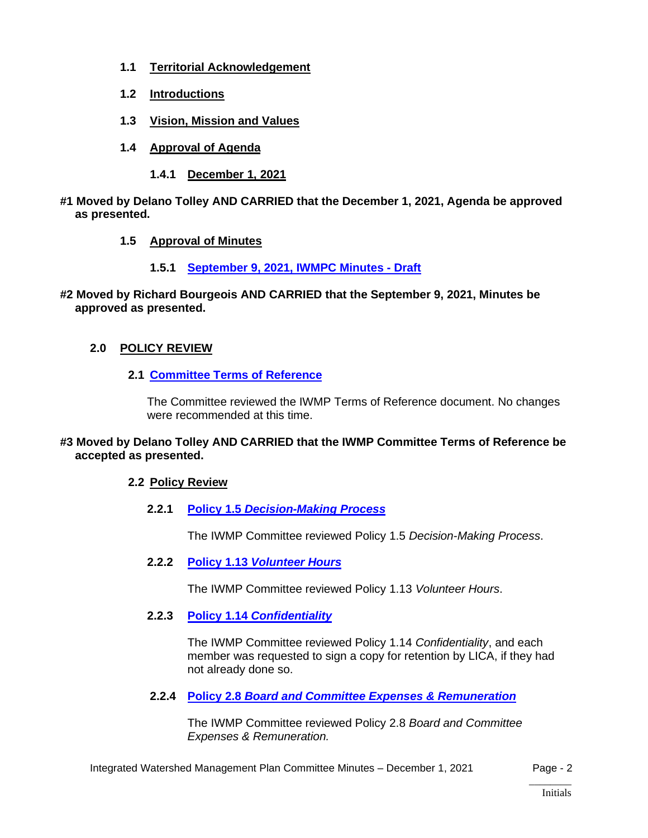- **1.1 Territorial Acknowledgement**
- **1.2 Introductions**
- **1.3 Vision, Mission and Values**
- **1.4 Approval of Agenda**
	- **1.4.1 December 1, 2021**
- **#1 Moved by Delano Tolley AND CARRIED that the December 1, 2021, Agenda be approved as presented.**
	- **1.5 Approval of Minutes**
		- **1.5.1 September 9, 2021, [IWMPC Minutes -](https://lica2.sharepoint.com/:b:/s/Office/EWmw-Us-1kpJkwqNq6b-7TUBPDr5JYZXbrYZiajY0PjWFQ?e=45aWyJ) Draft**
- **#2 Moved by Richard Bourgeois AND CARRIED that the September 9, 2021, Minutes be approved as presented.**

# **2.0 POLICY REVIEW**

**2.1 [Committee Terms of Reference](https://lica2.sharepoint.com/:w:/s/Office/EccDU_D1FwlDg2dykVQcN_gBdPHNPwyUq2dFgGWneLPU1A?e=o3dhXo)**

The Committee reviewed the IWMP Terms of Reference document. No changes were recommended at this time.

# **#3 Moved by Delano Tolley AND CARRIED that the IWMP Committee Terms of Reference be accepted as presented.**

# **2.2 Policy Review**

**2.2.1 Policy 1.5** *[Decision-Making](https://lica2.sharepoint.com/:b:/s/Office/EVTpA3CtaJBDrk6Y6ib3O8UBeCGhX0_S4quErfxi994eWw?e=wZNyPh) Process*

The IWMP Committee reviewed Policy 1.5 *Decision-Making Process*.

**2.2.2 Policy 1.13** *[Volunteer Hours](https://lica2.sharepoint.com/:b:/s/Office/EfqQnkMFH-dMjVE3TJsg5Y8BTb-JuWuxbSWPyYyfIZBXNg?e=ygIC2K)*

The IWMP Committee reviewed Policy 1.13 *Volunteer Hours*.

**2.2.3 Policy 1.14** *[Confidentiality](https://lica2.sharepoint.com/:b:/s/Office/EWs4ZeT4NptEiK8XDgYHe6oBDIiTQtgvUMRD_RFiz7Hu4Q?e=YlTlRh)*

The IWMP Committee reviewed Policy 1.14 *Confidentiality*, and each member was requested to sign a copy for retention by LICA, if they had not already done so.

**2.2.4 Policy 2.8** *[Board and Committee Expenses & Remuneration](https://lica2.sharepoint.com/:b:/s/Office/EccRP4kLoYRBoA_sQQYC9ZUBB4ob0QooHlcGOQ0MpMs_OQ?e=PUiJTB)*

The IWMP Committee reviewed Policy 2.8 *Board and Committee Expenses & Remuneration.*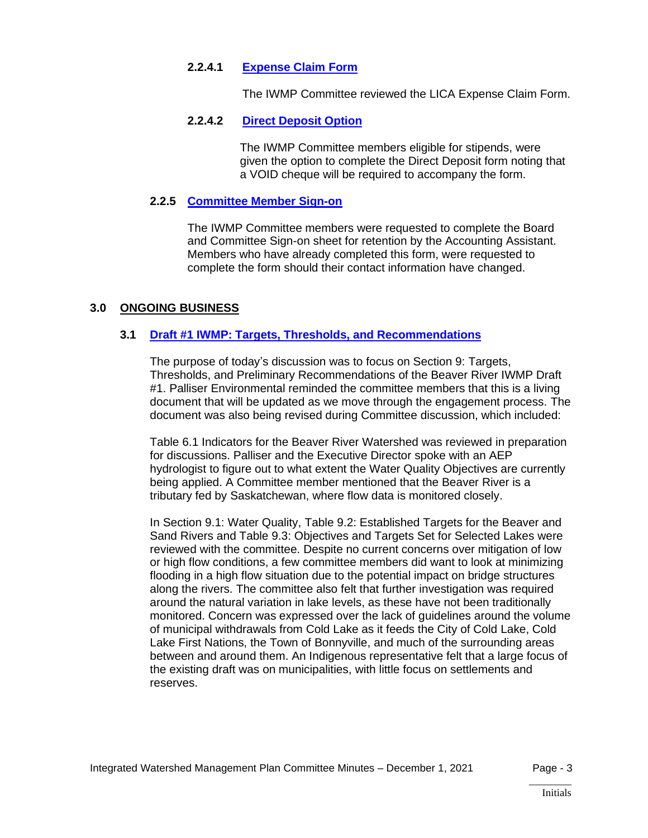### **2.2.4.1 [Expense Claim Form](https://lica2.sharepoint.com/:b:/s/Office/EcjWmSx2l8NAvKzTbTUZJ5QB09xRDBqFmxuuxnnq98WUxA?e=WtiLXH)**

The IWMP Committee reviewed the LICA Expense Claim Form.

### **2.2.4.2 Direct [Deposit Option](https://lica2.sharepoint.com/:b:/s/Office/EaoqpcjoH8tNjb3zRAxUEyQBxHzYYSMFJtKDzvQm5XXsFQ?e=OOlS4s)**

The IWMP Committee members eligible for stipends, were given the option to complete the Direct Deposit form noting that a VOID cheque will be required to accompany the form.

# **2.2.5 [Committee Member Sign-on](https://lica2.sharepoint.com/:b:/s/Office/EfwRr-LA9BVPqeJtCxiZDbsBstgnrX_DresXm-LSk6C-dg?e=NZGXsL)**

The IWMP Committee members were requested to complete the Board and Committee Sign-on sheet for retention by the Accounting Assistant. Members who have already completed this form, were requested to complete the form should their contact information have changed.

### **3.0 ONGOING BUSINESS**

### **3.1 [Draft #1 IWMP: Targets, Thresholds, and Recommendations](https://lica2.sharepoint.com/:b:/s/Office/EXiRSdZ_WsJAlcPJMo5p7h8BWUT5HAsIzvRyQnZLJSQXOw?e=mPge48)**

The purpose of today's discussion was to focus on Section 9: Targets, Thresholds, and Preliminary Recommendations of the Beaver River IWMP Draft #1. Palliser Environmental reminded the committee members that this is a living document that will be updated as we move through the engagement process. The document was also being revised during Committee discussion, which included:

Table 6.1 Indicators for the Beaver River Watershed was reviewed in preparation for discussions. Palliser and the Executive Director spoke with an AEP hydrologist to figure out to what extent the Water Quality Objectives are currently being applied. A Committee member mentioned that the Beaver River is a tributary fed by Saskatchewan, where flow data is monitored closely.

In Section 9.1: Water Quality, Table 9.2: Established Targets for the Beaver and Sand Rivers and Table 9.3: Objectives and Targets Set for Selected Lakes were reviewed with the committee. Despite no current concerns over mitigation of low or high flow conditions, a few committee members did want to look at minimizing flooding in a high flow situation due to the potential impact on bridge structures along the rivers. The committee also felt that further investigation was required around the natural variation in lake levels, as these have not been traditionally monitored. Concern was expressed over the lack of guidelines around the volume of municipal withdrawals from Cold Lake as it feeds the City of Cold Lake, Cold Lake First Nations, the Town of Bonnyville, and much of the surrounding areas between and around them. An Indigenous representative felt that a large focus of the existing draft was on municipalities, with little focus on settlements and reserves.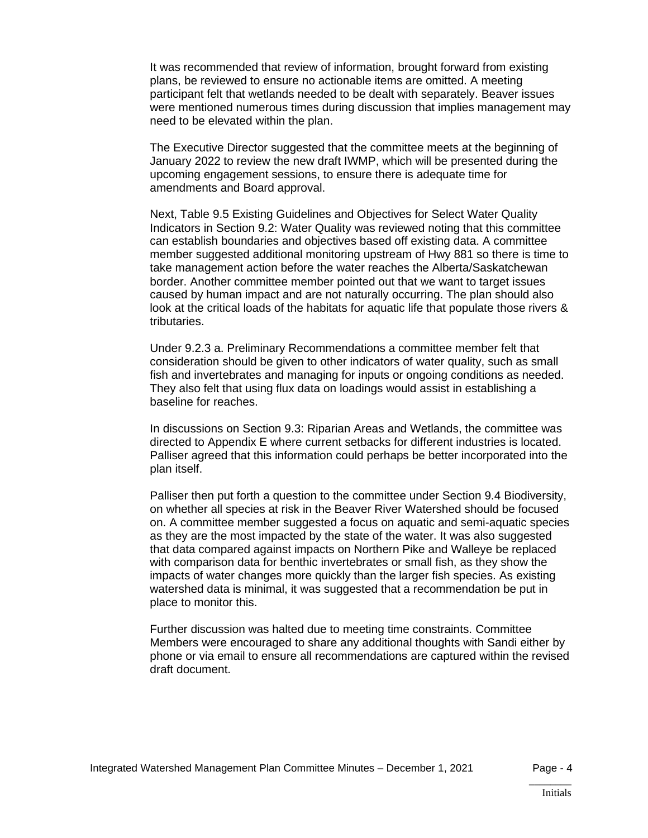It was recommended that review of information, brought forward from existing plans, be reviewed to ensure no actionable items are omitted. A meeting participant felt that wetlands needed to be dealt with separately. Beaver issues were mentioned numerous times during discussion that implies management may need to be elevated within the plan.

The Executive Director suggested that the committee meets at the beginning of January 2022 to review the new draft IWMP, which will be presented during the upcoming engagement sessions, to ensure there is adequate time for amendments and Board approval.

Next, Table 9.5 Existing Guidelines and Objectives for Select Water Quality Indicators in Section 9.2: Water Quality was reviewed noting that this committee can establish boundaries and objectives based off existing data. A committee member suggested additional monitoring upstream of Hwy 881 so there is time to take management action before the water reaches the Alberta/Saskatchewan border. Another committee member pointed out that we want to target issues caused by human impact and are not naturally occurring. The plan should also look at the critical loads of the habitats for aquatic life that populate those rivers & tributaries.

Under 9.2.3 a. Preliminary Recommendations a committee member felt that consideration should be given to other indicators of water quality, such as small fish and invertebrates and managing for inputs or ongoing conditions as needed. They also felt that using flux data on loadings would assist in establishing a baseline for reaches.

In discussions on Section 9.3: Riparian Areas and Wetlands, the committee was directed to Appendix E where current setbacks for different industries is located. Palliser agreed that this information could perhaps be better incorporated into the plan itself.

Palliser then put forth a question to the committee under Section 9.4 Biodiversity, on whether all species at risk in the Beaver River Watershed should be focused on. A committee member suggested a focus on aquatic and semi-aquatic species as they are the most impacted by the state of the water. It was also suggested that data compared against impacts on Northern Pike and Walleye be replaced with comparison data for benthic invertebrates or small fish, as they show the impacts of water changes more quickly than the larger fish species. As existing watershed data is minimal, it was suggested that a recommendation be put in place to monitor this.

Further discussion was halted due to meeting time constraints. Committee Members were encouraged to share any additional thoughts with Sandi either by phone or via email to ensure all recommendations are captured within the revised draft document.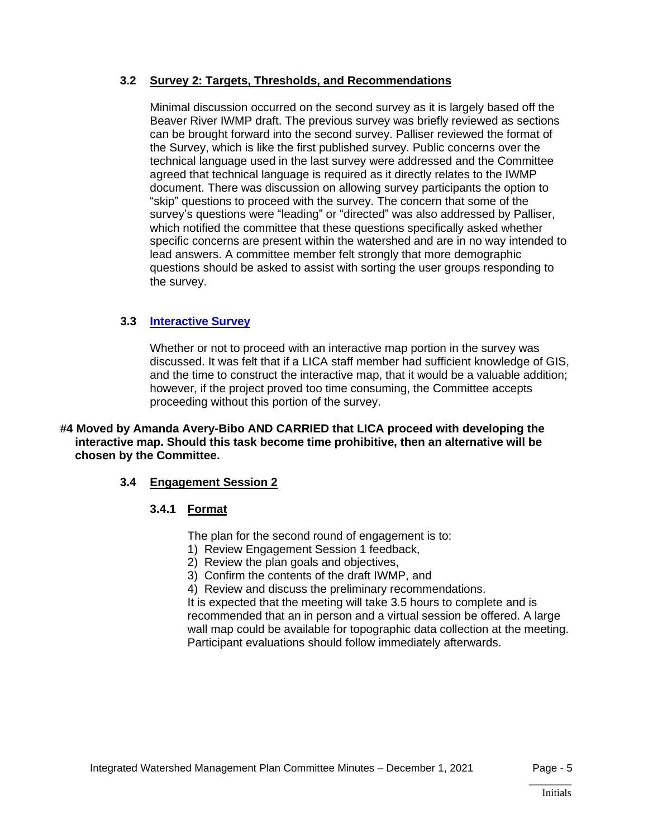# **3.2 Survey 2: Targets, Thresholds, and Recommendations**

Minimal discussion occurred on the second survey as it is largely based off the Beaver River IWMP draft. The previous survey was briefly reviewed as sections can be brought forward into the second survey. Palliser reviewed the format of the Survey, which is like the first published survey. Public concerns over the technical language used in the last survey were addressed and the Committee agreed that technical language is required as it directly relates to the IWMP document. There was discussion on allowing survey participants the option to "skip" questions to proceed with the survey. The concern that some of the survey's questions were "leading" or "directed" was also addressed by Palliser, which notified the committee that these questions specifically asked whether specific concerns are present within the watershed and are in no way intended to lead answers. A committee member felt strongly that more demographic questions should be asked to assist with sorting the user groups responding to the survey.

# **3.3 [Interactive Survey](https://lica2.sharepoint.com/:b:/s/Office/EbNADul0gIFMk9X11XPzi8kBYfUYddT7EVvnaoLGXT0GlQ?e=MTj6Hj)**

Whether or not to proceed with an interactive map portion in the survey was discussed. It was felt that if a LICA staff member had sufficient knowledge of GIS, and the time to construct the interactive map, that it would be a valuable addition; however, if the project proved too time consuming, the Committee accepts proceeding without this portion of the survey.

**#4 Moved by Amanda Avery-Bibo AND CARRIED that LICA proceed with developing the interactive map. Should this task become time prohibitive, then an alternative will be chosen by the Committee.**

# **3.4 Engagement Session 2**

# **3.4.1 Format**

The plan for the second round of engagement is to:

- 1) Review Engagement Session 1 feedback,
- 2) Review the plan goals and objectives,
- 3) Confirm the contents of the draft IWMP, and

4) Review and discuss the preliminary recommendations.

It is expected that the meeting will take 3.5 hours to complete and is recommended that an in person and a virtual session be offered. A large wall map could be available for topographic data collection at the meeting. Participant evaluations should follow immediately afterwards.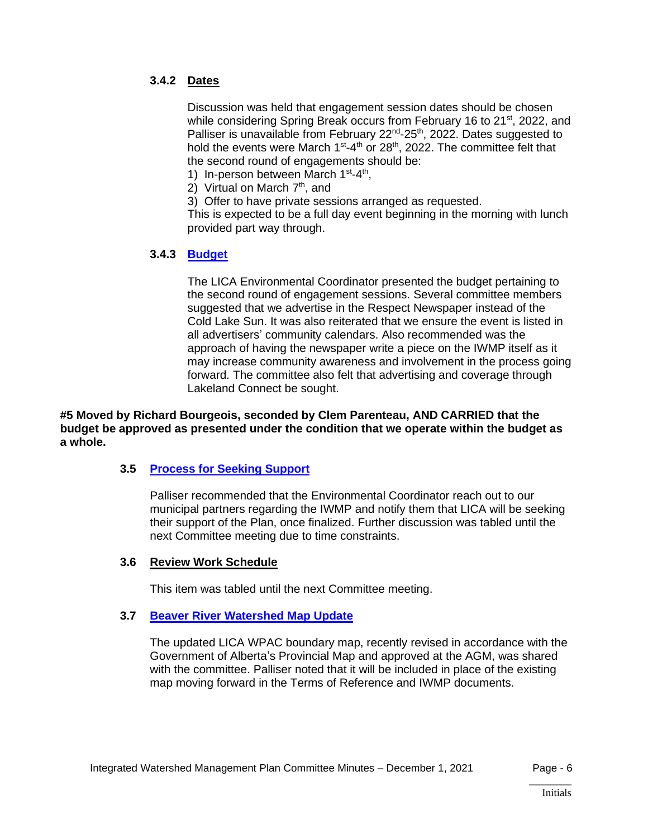# **3.4.2 Dates**

Discussion was held that engagement session dates should be chosen while considering Spring Break occurs from February 16 to 21<sup>st</sup>, 2022, and Palliser is unavailable from February 22<sup>nd</sup>-25<sup>th</sup>, 2022. Dates suggested to hold the events were March  $1<sup>st</sup>$ -4<sup>th</sup> or 28<sup>th</sup>, 2022. The committee felt that the second round of engagements should be:

- 1) In-person between March 1<sup>st</sup>-4<sup>th</sup>,
- 2) Virtual on March 7<sup>th</sup>, and
- 3) Offer to have private sessions arranged as requested.

This is expected to be a full day event beginning in the morning with lunch provided part way through.

### **3.4.3 [Budget](https://lica2.sharepoint.com/:b:/s/Office/ES_3K5VZ9LxPhRFLWo7UrYIBFqFQ9KVuIFn6ZJmes1iImw?e=7xHtNK)**

The LICA Environmental Coordinator presented the budget pertaining to the second round of engagement sessions. Several committee members suggested that we advertise in the Respect Newspaper instead of the Cold Lake Sun. It was also reiterated that we ensure the event is listed in all advertisers' community calendars. Also recommended was the approach of having the newspaper write a piece on the IWMP itself as it may increase community awareness and involvement in the process going forward. The committee also felt that advertising and coverage through Lakeland Connect be sought.

**#5 Moved by Richard Bourgeois, seconded by Clem Parenteau, AND CARRIED that the budget be approved as presented under the condition that we operate within the budget as a whole.**

#### **3.5 [Process for Seeking Support](https://lica2.sharepoint.com/:b:/s/Office/EYL_wZLAI-lBi6QNYxa-dYsB08NP7Trtmo75Big4PLjwdg?e=LvdW9T)**

Palliser recommended that the Environmental Coordinator reach out to our municipal partners regarding the IWMP and notify them that LICA will be seeking their support of the Plan, once finalized. Further discussion was tabled until the next Committee meeting due to time constraints.

#### **3.6 Review Work Schedule**

This item was tabled until the next Committee meeting.

#### **3.7 [Beaver River Watershed Map Update](https://lica2.sharepoint.com/:b:/s/Office/EQbMr1r6UmJBph5F0raxNjoBlxIcPHLlesnv14u99qoZAg?e=AtWTSE)**

The updated LICA WPAC boundary map, recently revised in accordance with the Government of Alberta's Provincial Map and approved at the AGM, was shared with the committee. Palliser noted that it will be included in place of the existing map moving forward in the Terms of Reference and IWMP documents.